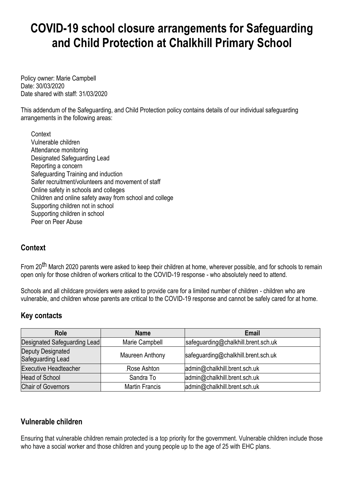# **COVID-19 school closure arrangements for Safeguarding and Child Protection at Chalkhill Primary School**

Policy owner: Marie Campbell Date: 30/03/2020 Date shared with staff: 31/03/2020

This addendum of the Safeguarding, and Child Protection policy contains details of our individual safeguarding arrangements in the following areas:

**Context** Vulnerable children Attendance monitoring Designated Safeguarding Lead Reporting a concern Safeguarding Training and induction Safer recruitment/volunteers and movement of staff Online safety in schools and colleges Children and online safety away from school and college Supporting children not in school Supporting children in school Peer on Peer Abuse

# **Context**

From 20<sup>th</sup> March 2020 parents were asked to keep their children at home, wherever possible, and for schools to remain open only for those children of workers critical to the COVID-19 response - who absolutely need to attend.

Schools and all childcare providers were asked to provide care for a limited number of children - children who are vulnerable, and children whose parents are critical to the COVID-19 response and cannot be safely cared for at home.

## **Key contacts**

| <b>Role</b>                                   | Name                  | <b>Email</b>                        |
|-----------------------------------------------|-----------------------|-------------------------------------|
| Designated Safeguarding Lead                  | Marie Campbell        | safeguarding@chalkhill.brent.sch.uk |
| <b>Deputy Designated</b><br>Safeguarding Lead | Maureen Anthony       | safeguarding@chalkhill.brent.sch.uk |
| <b>Executive Headteacher</b>                  | Rose Ashton           | admin@chalkhill.brent.sch.uk        |
| <b>Head of School</b>                         | Sandra To             | admin@chalkhill.brent.sch.uk        |
| <b>Chair of Governors</b>                     | <b>Martin Francis</b> | admin@chalkhill.brent.sch.uk        |

# **Vulnerable children**

Ensuring that vulnerable children remain protected is a top priority for the government. Vulnerable children include those who have a social worker and those children and young people up to the age of 25 with EHC plans.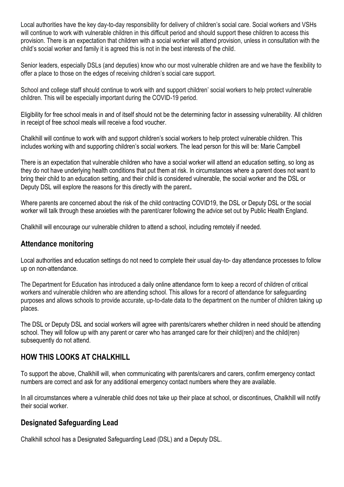Local authorities have the key day-to-day responsibility for delivery of children's social care. Social workers and VSHs will continue to work with vulnerable children in this difficult period and should support these children to access this provision. There is an expectation that children with a social worker will attend provision, unless in consultation with the child's social worker and family it is agreed this is not in the best interests of the child.

Senior leaders, especially DSLs (and deputies) know who our most vulnerable children are and we have the flexibility to offer a place to those on the edges of receiving children's social care support.

School and college staff should continue to work with and support children' social workers to help protect vulnerable children. This will be especially important during the COVID-19 period.

Eligibility for free school meals in and of itself should not be the determining factor in assessing vulnerability. All children in receipt of free school meals will receive a food voucher.

Chalkhill will continue to work with and support children's social workers to help protect vulnerable children. This includes working with and supporting children's social workers. The lead person for this will be: Marie Campbell

There is an expectation that vulnerable children who have a social worker will attend an education setting, so long as they do not have underlying health conditions that put them at risk. In circumstances where a parent does not want to bring their child to an education setting, and their child is considered vulnerable, the social worker and the DSL or Deputy DSL will explore the reasons for this directly with the parent.

Where parents are concerned about the risk of the child contracting COVID19, the DSL or Deputy DSL or the social worker will talk through these anxieties with the parent/carer following the advice set out by Public Health England.

Chalkhill will encourage our vulnerable children to attend a school, including remotely if needed.

#### **Attendance monitoring**

Local authorities and education settings do not need to complete their usual day-to- day attendance processes to follow up on non-attendance.

The Department for Education has introduced a daily online [attendance](https://www.gov.uk/government/publications/coronavirus-covid-19-attendance-recording-for-educational-settings) form to keep a record of children of critical workers and vulnerable children who are attending school. This allows for a record of attendance for safeguarding purposes and allows schools to provide accurate, up-to-date data to the department on the number of children taking up places.

The DSL or Deputy DSL and social workers will agree with parents/carers whether children in need should be attending school. They will follow up with any parent or carer who has arranged care for their child(ren) and the child(ren) subsequently do not attend.

# **HOW THIS LOOKS AT CHALKHILL**

To support the above, Chalkhill will, when communicating with parents/carers and carers, confirm emergency contact numbers are correct and ask for any additional emergency contact numbers where they are available.

In all circumstances where a vulnerable child does not take up their place at school, or discontinues, Chalkhill will notify their social worker.

## **Designated Safeguarding Lead**

Chalkhill school has a Designated Safeguarding Lead (DSL) and a Deputy DSL.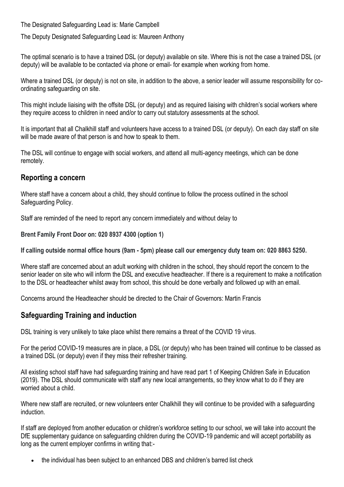The Designated Safeguarding Lead is: Marie Campbell

The Deputy Designated Safeguarding Lead is: Maureen Anthony

The optimal scenario is to have a trained DSL (or deputy) available on site. Where this is not the case a trained DSL (or deputy) will be available to be contacted via phone or email- for example when working from home.

Where a trained DSL (or deputy) is not on site, in addition to the above, a senior leader will assume responsibility for coordinating safeguarding on site.

This might include liaising with the offsite DSL (or deputy) and as required liaising with children's social workers where they require access to children in need and/or to carry out statutory assessments at the school.

It is important that all Chalkhill staff and volunteers have access to a trained DSL (or deputy). On each day staff on site will be made aware of that person is and how to speak to them.

The DSL will continue to engage with social workers, and attend all multi-agency meetings, which can be done remotely.

## **Reporting a concern**

Where staff have a concern about a child, they should continue to follow the process outlined in the school Safeguarding Policy.

Staff are reminded of the need to report any concern immediately and without delay to

**Brent Family Front Door on: 020 8937 4300 (option 1)**

**If calling outside normal office hours (9am - 5pm) please call our emergency duty team on: 020 8863 5250.**

Where staff are concerned about an adult working with children in the school, they should report the concern to the senior leader on site who will inform the DSL and executive headteacher. If there is a requirement to make a notification to the DSL or headteacher whilst away from school, this should be done verbally and followed up with an email.

Concerns around the Headteacher should be directed to the Chair of Governors: Martin Francis

## **Safeguarding Training and induction**

DSL training is very unlikely to take place whilst there remains a threat of the COVID 19 virus.

For the period COVID-19 measures are in place, a DSL (or deputy) who has been trained will continue to be classed as a trained DSL (or deputy) even if they miss their refresher training.

All existing school staff have had safeguarding training and have read part 1 of Keeping Children Safe in Education (2019). The DSL should communicate with staff any new local arrangements, so they know what to do if they are worried about a child.

Where new staff are recruited, or new volunteers enter Chalkhill they will continue to be provided with a safeguarding induction.

If staff are deployed from another education or children's workforce setting to our school, we will take into account the DfE supplementary guidance on safeguarding children during the COVID-19 pandemic and will accept portability as long as the current employer confirms in writing that:-

the individual has been subject to an enhanced DBS and children's barred list check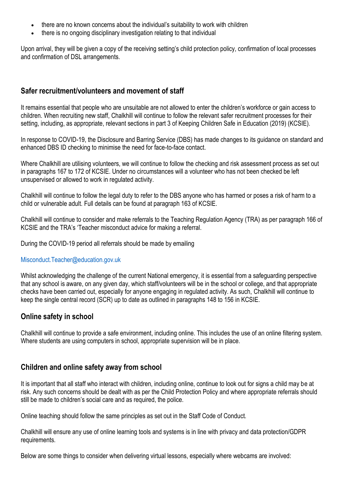- there are no known concerns about the individual's suitability to work with children
- there is no ongoing disciplinary investigation relating to that individual

Upon arrival, they will be given a copy of the receiving setting's child protection policy, confirmation of local processes and confirmation of DSL arrangements.

## **Safer recruitment/volunteers and movement of staff**

It remains essential that people who are unsuitable are not allowed to enter the children's workforce or gain access to children. When recruiting new staff, Chalkhill will continue to follow the relevant safer recruitment processes for their setting, including, as appropriate, relevant sections in part 3 of Keeping Children Safe in Education (2019) (KCSIE).

In response to COVID-19, the Disclosure and Barring Service (DBS) has made changes to its guidance on standard and enhanced DBS ID checking to minimise the need for face-to-face contact.

Where Chalkhill are utilising volunteers, we will continue to follow the checking and risk assessment process as set out in paragraphs 167 to 172 of KCSIE. Under no circumstances will a volunteer who has not been checked be left unsupervised or allowed to work in regulated activity.

Chalkhill will continue to follow the legal duty to refer to the DBS anyone who has harmed or poses a risk of harm to a child or vulnerable adult. Full details can be found at paragraph 163 of KCSIE.

Chalkhill will continue to consider and make referrals to the Teaching Regulation Agency (TRA) as per paragraph 166 of KCSIE and the TRA's 'Teacher misconduct advice for making a referral.

During the COVID-19 period all referrals should be made by emailing

#### Misconduct.Teacher@education.gov.uk

Whilst acknowledging the challenge of the current National emergency, it is essential from a safeguarding perspective that any school is aware, on any given day, which staff/volunteers will be in the school or college, and that appropriate checks have been carried out, especially for anyone engaging in regulated activity. As such, Chalkhill will continue to keep the single central record (SCR) up to date as outlined in paragraphs 148 to 156 in KCSIE.

#### **Online safety in school**

Chalkhill will continue to provide a safe environment, including online. This includes the use of an online filtering system. Where students are using computers in school, appropriate supervision will be in place.

#### **Children and online safety away from school**

It is important that all staff who interact with children, including online, continue to look out for signs a child may be at risk. Any such concerns should be dealt with as per the Child Protection Policy and where appropriate referrals should still be made to children's social care and as required, the police.

Online teaching should follow the same principles as set out in the Staff Code of Conduct.

Chalkhill will ensure any use of online learning tools and systems is in line with privacy and data protection/GDPR requirements.

Below are some things to consider when delivering virtual lessons, especially where webcams are involved: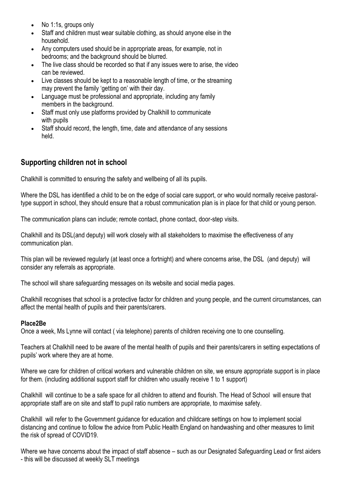- No 1:1s, groups only
- Staff and children must wear suitable clothing, as should anyone else in the household.
- Any computers used should be in appropriate areas, for example, not in bedrooms; and the background should be blurred.
- The live class should be recorded so that if any issues were to arise, the video can be reviewed.
- Live classes should be kept to a reasonable length of time, or the streaming may prevent the family 'getting on' with their day.
- Language must be professional and appropriate, including any family members in the background.
- Staff must only use platforms provided by Chalkhill to communicate with pupils
- Staff should record, the length, time, date and attendance of any sessions held.

## **Supporting children not in school**

Chalkhill is committed to ensuring the safety and wellbeing of all its pupils.

Where the DSL has identified a child to be on the edge of social care support, or who would normally receive pastoraltype support in school, they should ensure that a robust communication plan is in place for that child or young person.

The communication plans can include; remote contact, phone contact, door-step visits.

Chalkhill and its DSL(and deputy) will work closely with all stakeholders to maximise the effectiveness of any communication plan.

This plan will be reviewed regularly (at least once a fortnight) and where concerns arise, the DSL (and deputy) will consider any referrals as appropriate.

The school will share safeguarding messages on its website and social media pages.

Chalkhill recognises that school is a protective factor for children and young people, and the current circumstances, can affect the mental health of pupils and their parents/carers.

#### **Place2Be**

Once a week, Ms Lynne will contact ( via telephone) parents of children receiving one to one counselling.

Teachers at Chalkhill need to be aware of the mental health of pupils and their parents/carers in setting expectations of pupils' work where they are at home.

Where we care for children of critical workers and vulnerable children on site, we ensure appropriate support is in place for them. (including additional support staff for children who usually receive 1 to 1 support)

Chalkhill will continue to be a safe space for all children to attend and flourish. The Head of School will ensure that appropriate staff are on site and staff to pupil ratio numbers are appropriate, to maximise safety.

Chalkhill will refer to the Government guidance for education and childcare settings on how to implement social distancing and continue to follow the advice from Public Health England on handwashing and other measures to limit the risk of spread of COVID19.

Where we have concerns about the impact of staff absence – such as our Designated Safeguarding Lead or first aiders - this will be discussed at weekly SLT meetings